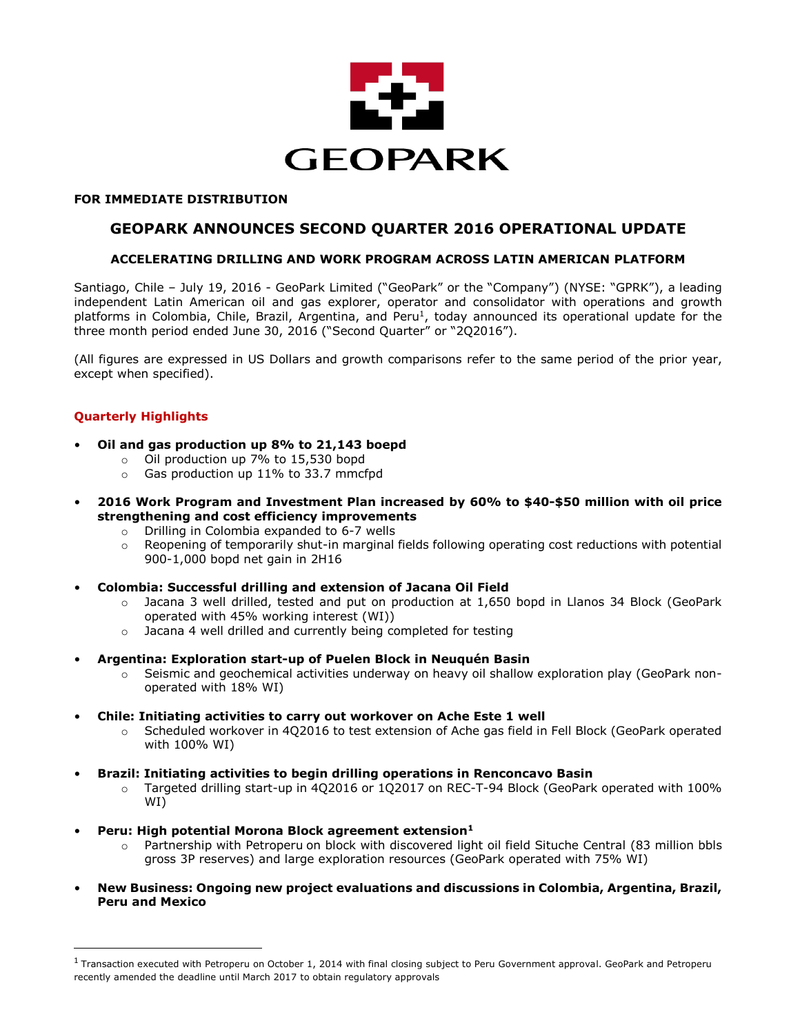

### **FOR IMMEDIATE DISTRIBUTION**

# **GEOPARK ANNOUNCES SECOND QUARTER 2016 OPERATIONAL UPDATE**

# **ACCELERATING DRILLING AND WORK PROGRAM ACROSS LATIN AMERICAN PLATFORM**

Santiago, Chile – July 19, 2016 - GeoPark Limited ("GeoPark" or the "Company") (NYSE: "GPRK"), a leading independent Latin American oil and gas explorer, operator and consolidator with operations and growth platforms in Colombia, Chile, Brazil, Argentina, and Peru<sup>1</sup>, today announced its operational update for the three month period ended June 30, 2016 ("Second Quarter" or "2Q2016").

(All figures are expressed in US Dollars and growth comparisons refer to the same period of the prior year, except when specified).

# **Quarterly Highlights**

l

- **Oil and gas production up 8% to 21,143 boepd**
	- o Oil production up 7% to 15,530 bopd
	- o Gas production up 11% to 33.7 mmcfpd
- **2016 Work Program and Investment Plan increased by 60% to \$40-\$50 million with oil price strengthening and cost efficiency improvements**
	- o Drilling in Colombia expanded to 6-7 wells
	- $\circ$  Reopening of temporarily shut-in marginal fields following operating cost reductions with potential 900-1,000 bopd net gain in 2H16
- **Colombia: Successful drilling and extension of Jacana Oil Field** 
	- $\circ$  Jacana 3 well drilled, tested and put on production at 1,650 bopd in Llanos 34 Block (GeoPark operated with 45% working interest (WI))
	- o Jacana 4 well drilled and currently being completed for testing
- **Argentina: Exploration start-up of Puelen Block in Neuquén Basin**
	- o Seismic and geochemical activities underway on heavy oil shallow exploration play (GeoPark nonoperated with 18% WI)
- **Chile: Initiating activities to carry out workover on Ache Este 1 well**
	- o Scheduled workover in 4Q2016 to test extension of Ache gas field in Fell Block (GeoPark operated with 100% WI)
	- **Brazil: Initiating activities to begin drilling operations in Renconcavo Basin**
		- o Targeted drilling start-up in 4Q2016 or 1Q2017 on REC-T-94 Block (GeoPark operated with 100% WI)
- **Peru: High potential Morona Block agreement extension<sup>1</sup>**
	- o Partnership with Petroperu on block with discovered light oil field Situche Central (83 million bbls gross 3P reserves) and large exploration resources (GeoPark operated with 75% WI)
- **New Business: Ongoing new project evaluations and discussions in Colombia, Argentina, Brazil, Peru and Mexico**

<sup>&</sup>lt;sup>1</sup> Transaction executed with Petroperu on October 1, 2014 with final closing subject to Peru Government approval. GeoPark and Petroperu recently amended the deadline until March 2017 to obtain regulatory approvals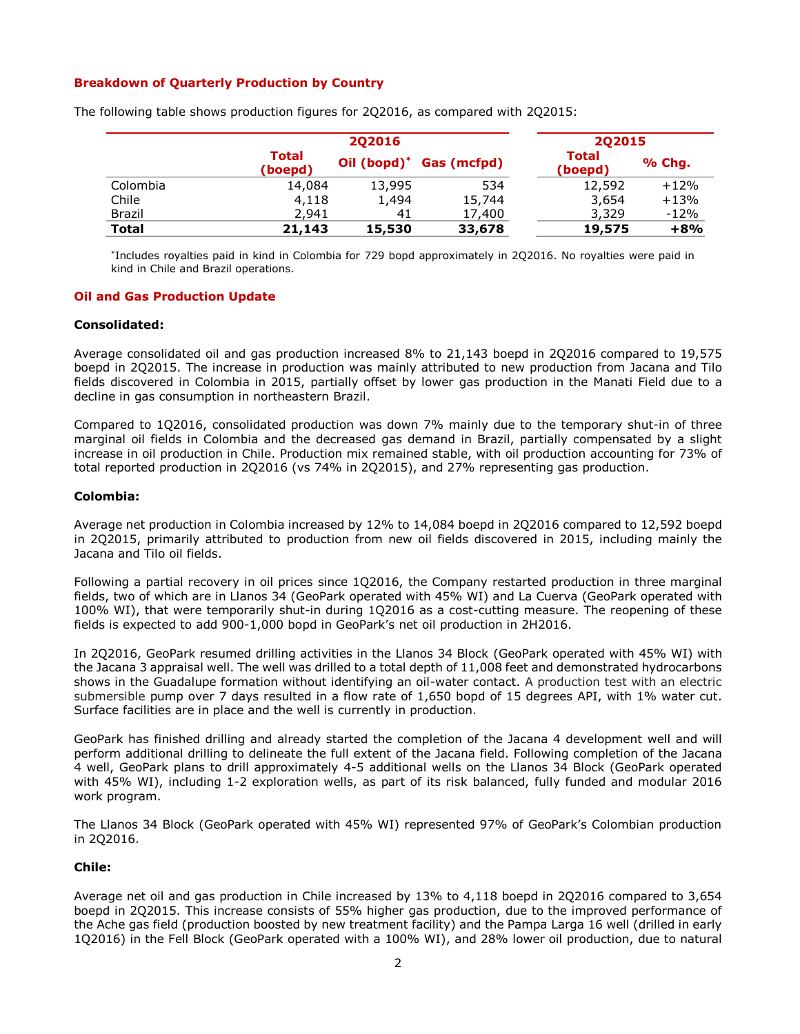## **Breakdown of Quarterly Production by Country**

|               |                         | 202016         |             |                         | 202015 |  |
|---------------|-------------------------|----------------|-------------|-------------------------|--------|--|
|               | <b>Total</b><br>(boepd) | Oil $(bopd)^*$ | Gas (mcfpd) | <b>Total</b><br>(boepd) | % Chg. |  |
| Colombia      | 14,084                  | 13,995         | 534         | 12,592                  | $+12%$ |  |
| Chile         | 4,118                   | 1,494          | 15,744      | 3,654                   | $+13%$ |  |
| <b>Brazil</b> | 2,941                   | 41             | 17,400      | 3,329                   | $-12%$ |  |
| <b>Total</b>  | 21,143                  | 15,530         | 33,678      | 19,575                  | $+8%$  |  |

The following table shows production figures for 2Q2016, as compared with 2Q2015:

\* Includes royalties paid in kind in Colombia for 729 bopd approximately in 2Q2016. No royalties were paid in kind in Chile and Brazil operations.

### **Oil and Gas Production Update**

### **Consolidated:**

Average consolidated oil and gas production increased 8% to 21,143 boepd in 2Q2016 compared to 19,575 boepd in 2Q2015. The increase in production was mainly attributed to new production from Jacana and Tilo fields discovered in Colombia in 2015, partially offset by lower gas production in the Manati Field due to a decline in gas consumption in northeastern Brazil.

Compared to 1Q2016, consolidated production was down 7% mainly due to the temporary shut-in of three marginal oil fields in Colombia and the decreased gas demand in Brazil, partially compensated by a slight increase in oil production in Chile. Production mix remained stable, with oil production accounting for 73% of total reported production in 2Q2016 (vs 74% in 2Q2015), and 27% representing gas production.

### **Colombia:**

Average net production in Colombia increased by 12% to 14,084 boepd in 2Q2016 compared to 12,592 boepd in 2Q2015, primarily attributed to production from new oil fields discovered in 2015, including mainly the Jacana and Tilo oil fields.

Following a partial recovery in oil prices since 1Q2016, the Company restarted production in three marginal fields, two of which are in Llanos 34 (GeoPark operated with 45% WI) and La Cuerva (GeoPark operated with 100% WI), that were temporarily shut-in during 1Q2016 as a cost-cutting measure. The reopening of these fields is expected to add 900-1,000 bopd in GeoPark's net oil production in 2H2016.

In 2Q2016, GeoPark resumed drilling activities in the Llanos 34 Block (GeoPark operated with 45% WI) with the Jacana 3 appraisal well. The well was drilled to a total depth of 11,008 feet and demonstrated hydrocarbons shows in the Guadalupe formation without identifying an oil-water contact. A production test with an electric submersible pump over 7 days resulted in a flow rate of 1,650 bopd of 15 degrees API, with 1% water cut. Surface facilities are in place and the well is currently in production.

GeoPark has finished drilling and already started the completion of the Jacana 4 development well and will perform additional drilling to delineate the full extent of the Jacana field. Following completion of the Jacana 4 well, GeoPark plans to drill approximately 4-5 additional wells on the Llanos 34 Block (GeoPark operated with 45% WI), including 1-2 exploration wells, as part of its risk balanced, fully funded and modular 2016 work program.

The Llanos 34 Block (GeoPark operated with 45% WI) represented 97% of GeoPark's Colombian production in 2Q2016.

### **Chile:**

Average net oil and gas production in Chile increased by 13% to 4,118 boepd in 2Q2016 compared to 3,654 boepd in 2Q2015. This increase consists of 55% higher gas production, due to the improved performance of the Ache gas field (production boosted by new treatment facility) and the Pampa Larga 16 well (drilled in early 1Q2016) in the Fell Block (GeoPark operated with a 100% WI), and 28% lower oil production, due to natural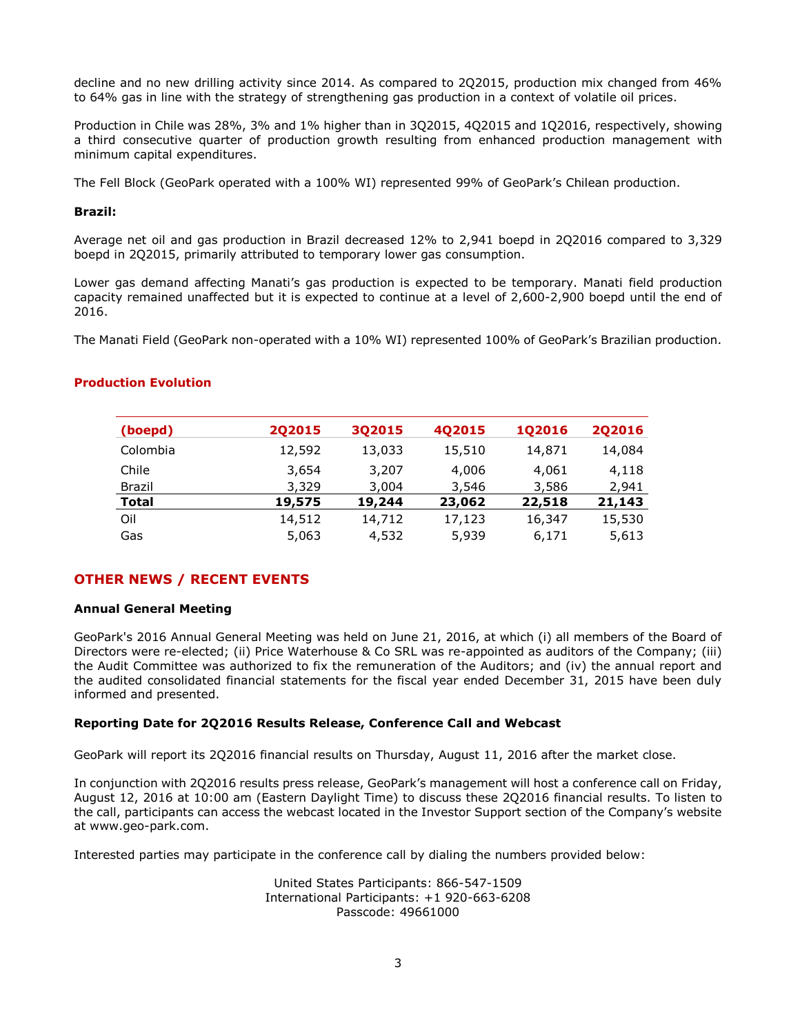decline and no new drilling activity since 2014. As compared to 2Q2015, production mix changed from 46% to 64% gas in line with the strategy of strengthening gas production in a context of volatile oil prices.

Production in Chile was 28%, 3% and 1% higher than in 3Q2015, 4Q2015 and 1Q2016, respectively, showing a third consecutive quarter of production growth resulting from enhanced production management with minimum capital expenditures.

The Fell Block (GeoPark operated with a 100% WI) represented 99% of GeoPark's Chilean production.

## **Brazil:**

Average net oil and gas production in Brazil decreased 12% to 2,941 boepd in 2Q2016 compared to 3,329 boepd in 2Q2015, primarily attributed to temporary lower gas consumption.

Lower gas demand affecting Manati's gas production is expected to be temporary. Manati field production capacity remained unaffected but it is expected to continue at a level of 2,600-2,900 boepd until the end of 2016.

The Manati Field (GeoPark non-operated with a 10% WI) represented 100% of GeoPark's Brazilian production.

| (boepd)  | 202015 | 3Q2015 | <b>402015</b> | <b>1Q2016</b> | <b>2Q2016</b> |
|----------|--------|--------|---------------|---------------|---------------|
| Colombia | 12,592 | 13,033 | 15,510        | 14,871        | 14,084        |
| Chile    | 3,654  | 3,207  | 4,006         | 4,061         | 4,118         |
| Brazil   | 3,329  | 3,004  | 3,546         | 3,586         | 2,941         |
| Total    | 19,575 | 19,244 | 23,062        | 22,518        | 21,143        |
| Oil      | 14,512 | 14,712 | 17,123        | 16,347        | 15,530        |
| Gas      | 5,063  | 4,532  | 5,939         | 6,171         | 5,613         |

## **Production Evolution**

# **OTHER NEWS / RECENT EVENTS**

# **Annual General Meeting**

GeoPark's 2016 Annual General Meeting was held on June 21, 2016, at which (i) all members of the Board of Directors were re-elected; (ii) Price Waterhouse & Co SRL was re-appointed as auditors of the Company; (iii) the Audit Committee was authorized to fix the remuneration of the Auditors; and (iv) the annual report and the audited consolidated financial statements for the fiscal year ended December 31, 2015 have been duly informed and presented.

# **Reporting Date for 2Q2016 Results Release, Conference Call and Webcast**

GeoPark will report its 2Q2016 financial results on Thursday, August 11, 2016 after the market close.

In conjunction with 2Q2016 results press release, GeoPark's management will host a conference call on Friday, August 12, 2016 at 10:00 am (Eastern Daylight Time) to discuss these 2Q2016 financial results. To listen to the call, participants can access the webcast located in the Investor Support section of the Company's website at www.geo-park.com.

Interested parties may participate in the conference call by dialing the numbers provided below:

United States Participants: 866-547-1509 International Participants: +1 920-663-6208 Passcode: 49661000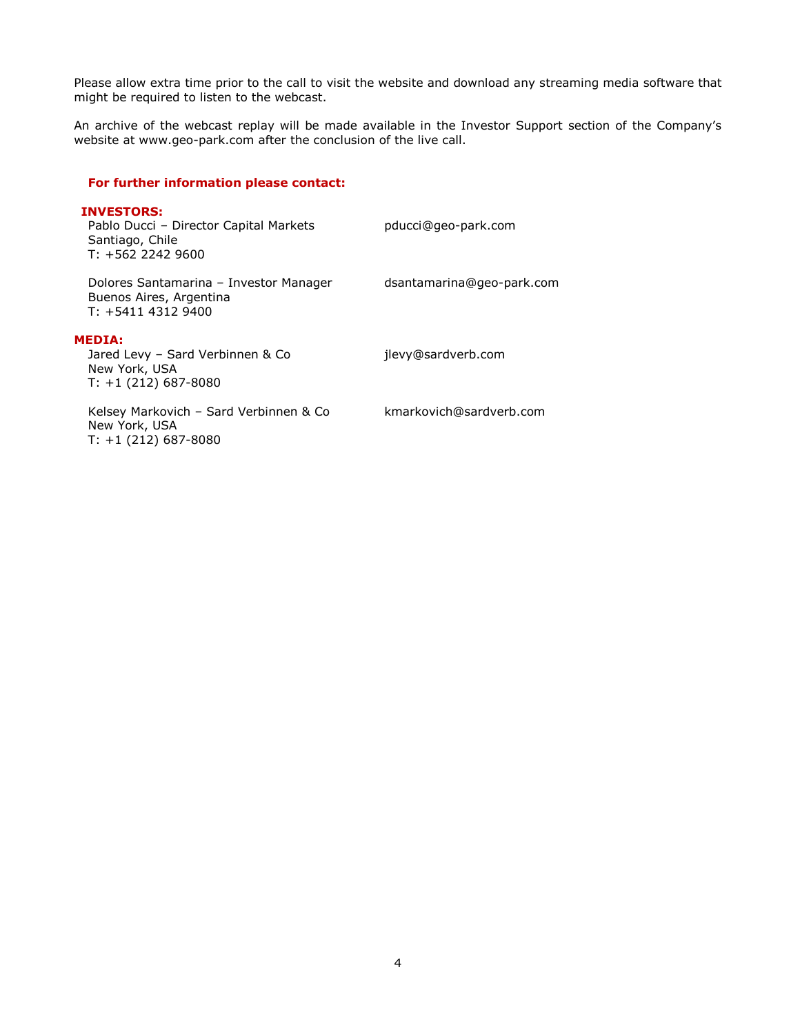Please allow extra time prior to the call to visit the website and download any streaming media software that might be required to listen to the webcast.

An archive of the webcast replay will be made available in the Investor Support section of the Company's website at www.geo-park.com after the conclusion of the live call.

## **For further information please contact:**

| <b>INVESTORS:</b><br>Pablo Ducci - Director Capital Markets<br>Santiago, Chile<br>$T: +56222429600$ | pducci@geo-park.com       |
|-----------------------------------------------------------------------------------------------------|---------------------------|
| Dolores Santamarina - Investor Manager<br>Buenos Aires, Argentina<br>$T: +541143129400$             | dsantamarina@geo-park.com |
| <b>MEDIA:</b><br>Jared Levy - Sard Verbinnen & Co<br>New York, USA<br>$T: +1(212) 687-8080$         | jlevy@sardverb.com        |
| Kelsey Markovich - Sard Verbinnen & Co<br>New York, USA<br>$T: +1(212) 687-8080$                    | kmarkovich@sardverb.com   |